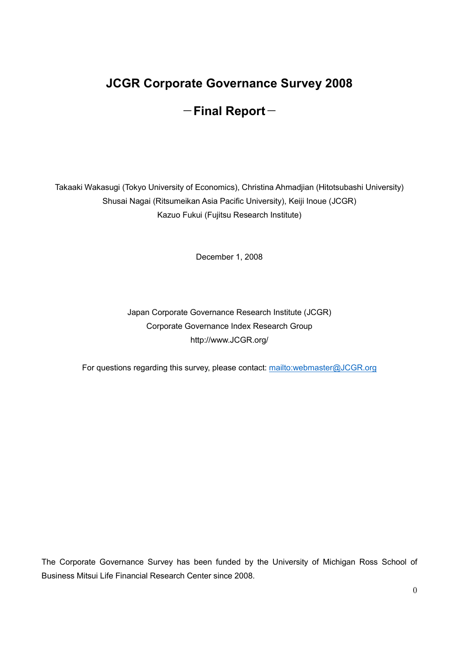# JCGR Corporate Governance Survey 2008

## $-$ Final Report $-$

Takaaki Wakasugi (Tokyo University of Economics), Christina Ahmadjian (Hitotsubashi University) Shusai Nagai (Ritsumeikan Asia Pacific University), Keiji Inoue (JCGR) Kazuo Fukui (Fujitsu Research Institute)

December 1, 2008

Japan Corporate Governance Research Institute (JCGR) Corporate Governance Index Research Group http://www.JCGR.org/

For questions regarding this survey, please contact: mailto:webmaster@JCGR.org

The Corporate Governance Survey has been funded by the University of Michigan Ross School of Business Mitsui Life Financial Research Center since 2008.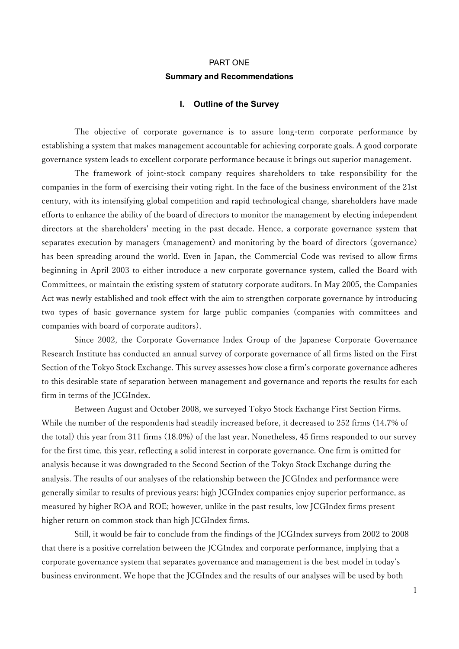## PART ONE Summary and Recommendations

#### I. Outline of the Survey

The objective of corporate governance is to assure long-term corporate performance by establishing a system that makes management accountable for achieving corporate goals. A good corporate governance system leads to excellent corporate performance because it brings out superior management.

The framework of joint-stock company requires shareholders to take responsibility for the companies in the form of exercising their voting right. In the face of the business environment of the 21st century, with its intensifying global competition and rapid technological change, shareholders have made efforts to enhance the ability of the board of directors to monitor the management by electing independent directors at the shareholders' meeting in the past decade. Hence, a corporate governance system that separates execution by managers (management) and monitoring by the board of directors (governance) has been spreading around the world. Even in Japan, the Commercial Code was revised to allow firms beginning in April 2003 to either introduce a new corporate governance system, called the Board with Committees, or maintain the existing system of statutory corporate auditors. In May 2005, the Companies Act was newly established and took effect with the aim to strengthen corporate governance by introducing two types of basic governance system for large public companies (companies with committees and companies with board of corporate auditors).

Since 2002, the Corporate Governance Index Group of the Japanese Corporate Governance Research Institute has conducted an annual survey of corporate governance of all firms listed on the First Section of the Tokyo Stock Exchange. This survey assesses how close a firm's corporate governance adheres to this desirable state of separation between management and governance and reports the results for each firm in terms of the JCGIndex.

Between August and October 2008, we surveyed Tokyo Stock Exchange First Section Firms. While the number of the respondents had steadily increased before, it decreased to 252 firms (14.7% of the total) this year from 311 firms (18.0%) of the last year. Nonetheless, 45 firms responded to our survey for the first time, this year, reflecting a solid interest in corporate governance. One firm is omitted for analysis because it was downgraded to the Second Section of the Tokyo Stock Exchange during the analysis. The results of our analyses of the relationship between the JCGIndex and performance were generally similar to results of previous years: high JCGIndex companies enjoy superior performance, as measured by higher ROA and ROE; however, unlike in the past results, low JCGIndex firms present higher return on common stock than high JCGIndex firms.

Still, it would be fair to conclude from the findings of the JCGIndex surveys from 2002 to 2008 that there is a positive correlation between the JCGIndex and corporate performance, implying that a corporate governance system that separates governance and management is the best model in today's business environment. We hope that the JCGIndex and the results of our analyses will be used by both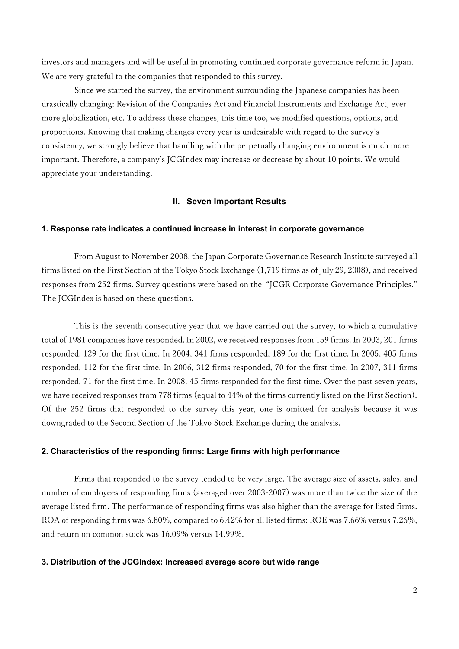investors and managers and will be useful in promoting continued corporate governance reform in Japan. We are very grateful to the companies that responded to this survey.

Since we started the survey, the environment surrounding the Japanese companies has been drastically changing: Revision of the Companies Act and Financial Instruments and Exchange Act, ever more globalization, etc. To address these changes, this time too, we modified questions, options, and proportions. Knowing that making changes every year is undesirable with regard to the survey's consistency, we strongly believe that handling with the perpetually changing environment is much more important. Therefore, a company's JCGIndex may increase or decrease by about 10 points. We would appreciate your understanding.

#### II. Seven Important Results

#### 1. Response rate indicates a continued increase in interest in corporate governance

From August to November 2008, the Japan Corporate Governance Research Institute surveyed all firms listed on the First Section of the Tokyo Stock Exchange (1,719 firms as of July 29, 2008), and received responses from 252 firms. Survey questions were based on the "JCGR Corporate Governance Principles." The JCGIndex is based on these questions.

This is the seventh consecutive year that we have carried out the survey, to which a cumulative total of 1981 companies have responded. In 2002, we received responses from 159 firms. In 2003, 201 firms responded, 129 for the first time. In 2004, 341 firms responded, 189 for the first time. In 2005, 405 firms responded, 112 for the first time. In 2006, 312 firms responded, 70 for the first time. In 2007, 311 firms responded, 71 for the first time. In 2008, 45 firms responded for the first time. Over the past seven years, we have received responses from 778 firms (equal to 44% of the firms currently listed on the First Section). Of the 252 firms that responded to the survey this year, one is omitted for analysis because it was downgraded to the Second Section of the Tokyo Stock Exchange during the analysis.

#### 2. Characteristics of the responding firms: Large firms with high performance

Firms that responded to the survey tended to be very large. The average size of assets, sales, and number of employees of responding firms (averaged over 2003-2007) was more than twice the size of the average listed firm. The performance of responding firms was also higher than the average for listed firms. ROA of responding firms was 6.80%, compared to 6.42% for all listed firms: ROE was 7.66% versus 7.26%, and return on common stock was 16.09% versus 14.99%.

#### 3. Distribution of the JCGIndex: Increased average score but wide range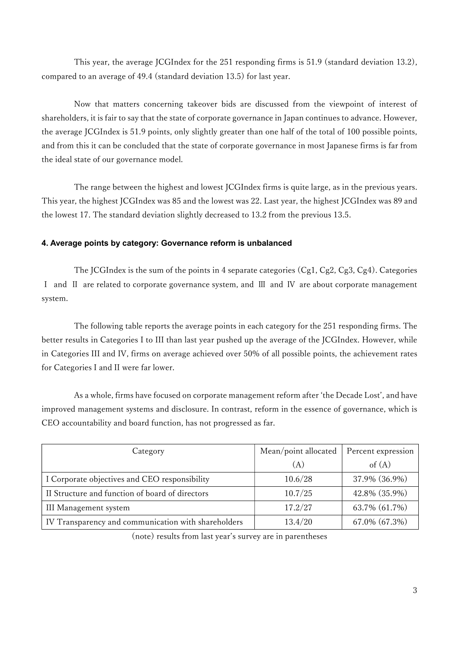This year, the average JCGIndex for the 251 responding firms is 51.9 (standard deviation 13.2), compared to an average of 49.4 (standard deviation 13.5) for last year.

Now that matters concerning takeover bids are discussed from the viewpoint of interest of shareholders, it is fair to say that the state of corporate governance in Japan continues to advance. However, the average JCGIndex is 51.9 points, only slightly greater than one half of the total of 100 possible points, and from this it can be concluded that the state of corporate governance in most Japanese firms is far from the ideal state of our governance model.

The range between the highest and lowest JCGIndex firms is quite large, as in the previous years. This year, the highest JCGIndex was 85 and the lowest was 22. Last year, the highest JCGIndex was 89 and the lowest 17. The standard deviation slightly decreased to 13.2 from the previous 13.5.

## 4. Average points by category: Governance reform is unbalanced

The JCGIndex is the sum of the points in 4 separate categories (Cg1, Cg2, Cg3, Cg4). Categories Ⅰ and Ⅱ are related to corporate governance system, and Ⅲ and Ⅳ are about corporate management system.

The following table reports the average points in each category for the 251 responding firms. The better results in Categories I to III than last year pushed up the average of the JCGIndex. However, while in Categories III and IV, firms on average achieved over 50% of all possible points, the achievement rates for Categories I and II were far lower.

As a whole, firms have focused on corporate management reform after 'the Decade Lost', and have improved management systems and disclosure. In contrast, reform in the essence of governance, which is CEO accountability and board function, has not progressed as far.

| Category                                            | Mean/point allocated | Percent expression |
|-----------------------------------------------------|----------------------|--------------------|
|                                                     | (A)                  | of $(A)$           |
| I Corporate objectives and CEO responsibility       | 10.6/28              | 37.9% (36.9%)      |
| II Structure and function of board of directors     | 10.7/25              | 42.8% (35.9%)      |
| III Management system                               | 17.2/27              | 63.7% (61.7%)      |
| IV Transparency and communication with shareholders | 13.4/20              | 67.0% (67.3%)      |

(note) results from last year's survey are in parentheses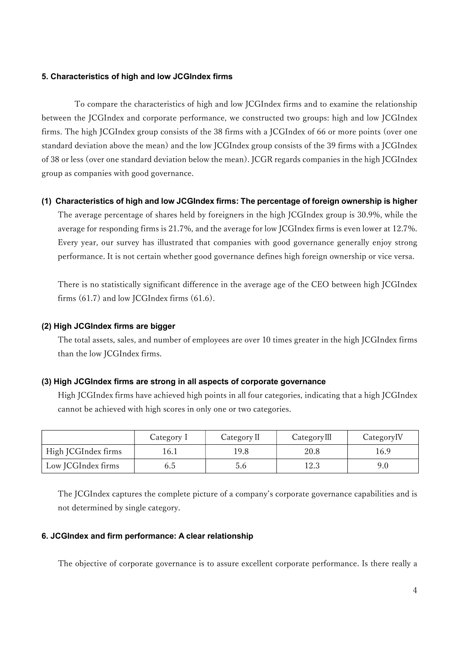#### 5. Characteristics of high and low JCGIndex firms

To compare the characteristics of high and low JCGIndex firms and to examine the relationship between the JCGIndex and corporate performance, we constructed two groups: high and low JCGIndex firms. The high JCGIndex group consists of the 38 firms with a JCGIndex of 66 or more points (over one standard deviation above the mean) and the low JCGIndex group consists of the 39 firms with a JCGIndex of 38 or less (over one standard deviation below the mean). JCGR regards companies in the high JCGIndex group as companies with good governance.

#### (1) Characteristics of high and low JCGIndex firms: The percentage of foreign ownership is higher

The average percentage of shares held by foreigners in the high JCGIndex group is 30.9%, while the average for responding firms is 21.7%, and the average for low JCGIndex firms is even lower at 12.7%. Every year, our survey has illustrated that companies with good governance generally enjoy strong performance. It is not certain whether good governance defines high foreign ownership or vice versa.

There is no statistically significant difference in the average age of the CEO between high JCGIndex firms (61.7) and low JCGIndex firms (61.6).

#### (2) High JCGIndex firms are bigger

The total assets, sales, and number of employees are over 10 times greater in the high JCGIndex firms than the low JCGIndex firms.

#### (3) High JCGIndex firms are strong in all aspects of corporate governance

High JCGIndex firms have achieved high points in all four categories, indicating that a high JCGIndex cannot be achieved with high scores in only one or two categories.

|                     | Category 1 | Category II | CategoryIII | Category <sub>IV</sub> |
|---------------------|------------|-------------|-------------|------------------------|
| High JCGIndex firms | 16.I       | 9.8         | 20.8        | 16.9                   |
| Low JCGIndex firms  | 6.o        | 5.6         | l2.3        | 9.0                    |

The JCGIndex captures the complete picture of a company's corporate governance capabilities and is not determined by single category.

#### 6. JCGIndex and firm performance: A clear relationship

The objective of corporate governance is to assure excellent corporate performance. Is there really a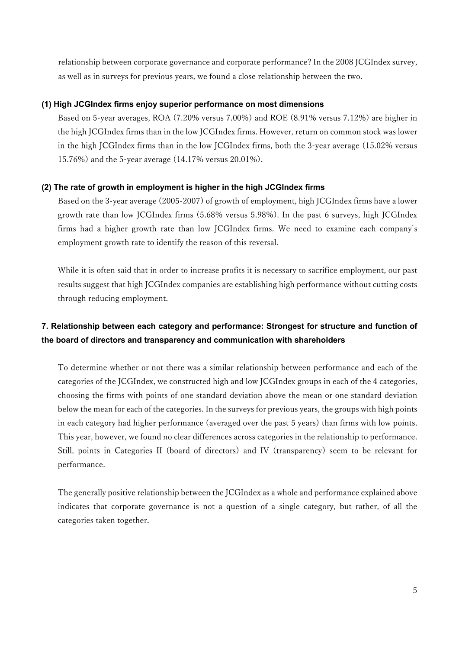relationship between corporate governance and corporate performance? In the 2008 JCGIndex survey, as well as in surveys for previous years, we found a close relationship between the two.

## (1) High JCGIndex firms enjoy superior performance on most dimensions

Based on 5-year averages, ROA (7.20% versus 7.00%) and ROE (8.91% versus 7.12%) are higher in the high JCGIndex firms than in the low JCGIndex firms. However, return on common stock was lower in the high JCGIndex firms than in the low JCGIndex firms, both the 3-year average (15.02% versus 15.76%) and the 5-year average (14.17% versus 20.01%).

## (2) The rate of growth in employment is higher in the high JCGIndex firms

Based on the 3-year average (2005-2007) of growth of employment, high JCGIndex firms have a lower growth rate than low JCGIndex firms (5.68% versus 5.98%). In the past 6 surveys, high JCGIndex firms had a higher growth rate than low JCGIndex firms. We need to examine each company's employment growth rate to identify the reason of this reversal.

While it is often said that in order to increase profits it is necessary to sacrifice employment, our past results suggest that high JCGIndex companies are establishing high performance without cutting costs through reducing employment.

## 7. Relationship between each category and performance: Strongest for structure and function of the board of directors and transparency and communication with shareholders

To determine whether or not there was a similar relationship between performance and each of the categories of the JCGIndex, we constructed high and low JCGIndex groups in each of the 4 categories, choosing the firms with points of one standard deviation above the mean or one standard deviation below the mean for each of the categories. In the surveys for previous years, the groups with high points in each category had higher performance (averaged over the past 5 years) than firms with low points. This year, however, we found no clear differences across categories in the relationship to performance. Still, points in Categories II (board of directors) and IV (transparency) seem to be relevant for performance.

The generally positive relationship between the JCGIndex as a whole and performance explained above indicates that corporate governance is not a question of a single category, but rather, of all the categories taken together.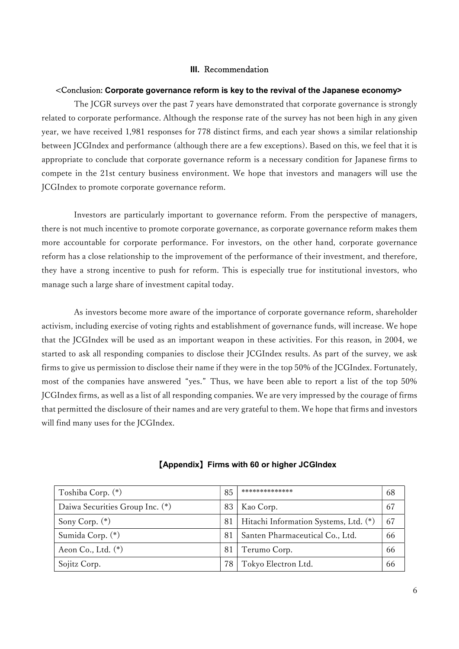#### III. Recommendation

#### <Conclusion: Corporate governance reform is key to the revival of the Japanese economy>

The JCGR surveys over the past 7 years have demonstrated that corporate governance is strongly related to corporate performance. Although the response rate of the survey has not been high in any given year, we have received 1,981 responses for 778 distinct firms, and each year shows a similar relationship between JCGIndex and performance (although there are a few exceptions). Based on this, we feel that it is appropriate to conclude that corporate governance reform is a necessary condition for Japanese firms to compete in the 21st century business environment. We hope that investors and managers will use the JCGIndex to promote corporate governance reform.

Investors are particularly important to governance reform. From the perspective of managers, there is not much incentive to promote corporate governance, as corporate governance reform makes them more accountable for corporate performance. For investors, on the other hand, corporate governance reform has a close relationship to the improvement of the performance of their investment, and therefore, they have a strong incentive to push for reform. This is especially true for institutional investors, who manage such a large share of investment capital today.

As investors become more aware of the importance of corporate governance reform, shareholder activism, including exercise of voting rights and establishment of governance funds, will increase. We hope that the JCGIndex will be used as an important weapon in these activities. For this reason, in 2004, we started to ask all responding companies to disclose their JCGIndex results. As part of the survey, we ask firms to give us permission to disclose their name if they were in the top 50% of the JCGIndex. Fortunately, most of the companies have answered "yes." Thus, we have been able to report a list of the top 50% JCGIndex firms, as well as a list of all responding companies. We are very impressed by the courage of firms that permitted the disclosure of their names and are very grateful to them. We hope that firms and investors will find many uses for the JCGIndex.

| Toshiba Corp. (*)               | 85 | **************                        | 68 |
|---------------------------------|----|---------------------------------------|----|
| Daiwa Securities Group Inc. (*) | 83 | Kao Corp.                             | 67 |
| Sony Corp. (*)                  | 81 | Hitachi Information Systems, Ltd. (*) | 67 |
| Sumida Corp. (*)                | 81 | Santen Pharmaceutical Co., Ltd.       | 66 |
| Aeon Co., Ltd. $(*)$            | 81 | Terumo Corp.                          | 66 |
| Sojitz Corp.                    |    | Tokyo Electron Ltd.                   | 66 |

#### 【Appendix】Firms with 60 or higher JCGIndex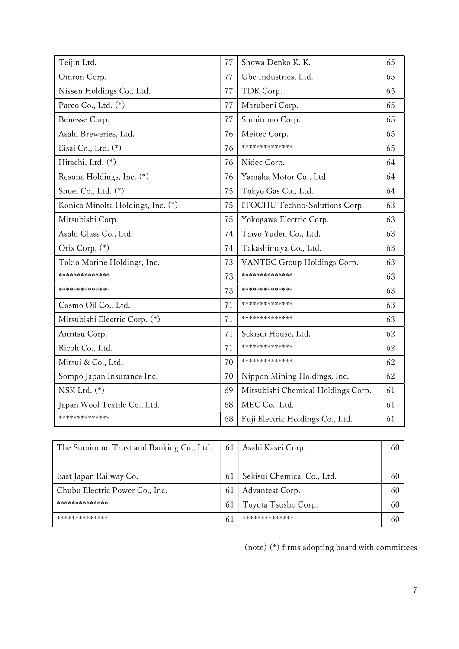| Teijin Ltd.                       | 77 | Showa Denko K. K.                  | 65 |
|-----------------------------------|----|------------------------------------|----|
| Omron Corp.                       | 77 | Ube Industries, Ltd.               | 65 |
| Nissen Holdings Co., Ltd.         | 77 | TDK Corp.                          | 65 |
| Parco Co., Ltd. $(*)$             | 77 | Marubeni Corp.                     | 65 |
| Benesse Corp.                     | 77 | Sumitomo Corp.                     | 65 |
| Asahi Breweries, Ltd.             | 76 | Meitec Corp.                       | 65 |
| Eisai Co., Ltd. (*)               | 76 | **************                     | 65 |
| Hitachi, Ltd. (*)                 | 76 | Nidec Corp.                        | 64 |
| Resona Holdings, Inc. (*)         | 76 | Yamaha Motor Co., Ltd.             | 64 |
| Shoei Co., Ltd. (*)               | 75 | Tokyo Gas Co., Ltd.                | 64 |
| Konica Minolta Holdings, Inc. (*) | 75 | ITOCHU Techno-Solutions Corp.      | 63 |
| Mitsubishi Corp.                  | 75 | Yokogawa Electric Corp.            | 63 |
| Asahi Glass Co., Ltd.             | 74 | Taiyo Yuden Co., Ltd.              | 63 |
| Orix Corp. (*)                    | 74 | Takashimaya Co., Ltd.              | 63 |
| Tokio Marine Holdings, Inc.       | 73 | VANTEC Group Holdings Corp.        | 63 |
| **************                    | 73 | **************                     | 63 |
| **************                    | 73 | **************                     | 63 |
| Cosmo Oil Co., Ltd.               | 71 | **************                     | 63 |
| Mitsubishi Electric Corp. (*)     | 71 | **************                     | 63 |
| Anritsu Corp.                     | 71 | Sekisui House, Ltd.                | 62 |
| Ricoh Co., Ltd.                   | 71 | **************                     | 62 |
| Mitsui & Co., Ltd.                | 70 | **************                     | 62 |
| Sompo Japan Insurance Inc.        | 70 | Nippon Mining Holdings, Inc.       | 62 |
| NSK Ltd. $(*)$                    | 69 | Mitsubishi Chemical Holdings Corp. | 61 |
| Japan Wool Textile Co., Ltd.      | 68 | MEC Co., Ltd.                      | 61 |
| **************                    | 68 | Fuji Electric Holdings Co., Ltd.   | 61 |

| The Sumitomo Trust and Banking Co., Ltd. | 61  | Asahi Kasei Corp.          | 60 |
|------------------------------------------|-----|----------------------------|----|
|                                          |     |                            |    |
| East Japan Railway Co.                   | 6 I | Sekisui Chemical Co., Ltd. | 60 |
| Chubu Electric Power Co., Inc.           | 6 I | Advantest Corp.            | 60 |
| **************                           | 6 I | Toyota Tsusho Corp.        | 60 |
| **************                           | 61  | **************             | 60 |

(note) (\*) firms adopting board with committees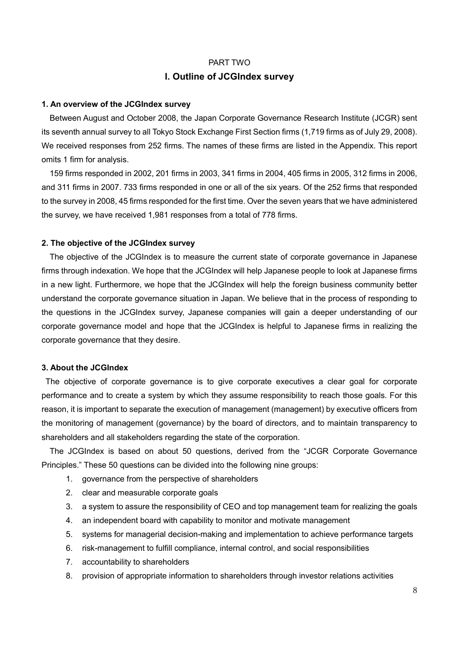## PART TWO I. Outline of JCGIndex survey

#### 1. An overview of the JCGIndex survey

 Between August and October 2008, the Japan Corporate Governance Research Institute (JCGR) sent its seventh annual survey to all Tokyo Stock Exchange First Section firms (1,719 firms as of July 29, 2008). We received responses from 252 firms. The names of these firms are listed in the Appendix. This report omits 1 firm for analysis.

 159 firms responded in 2002, 201 firms in 2003, 341 firms in 2004, 405 firms in 2005, 312 firms in 2006, and 311 firms in 2007. 733 firms responded in one or all of the six years. Of the 252 firms that responded to the survey in 2008, 45 firms responded for the first time. Over the seven years that we have administered the survey, we have received 1,981 responses from a total of 778 firms.

#### 2. The objective of the JCGIndex survey

 The objective of the JCGIndex is to measure the current state of corporate governance in Japanese firms through indexation. We hope that the JCGIndex will help Japanese people to look at Japanese firms in a new light. Furthermore, we hope that the JCGIndex will help the foreign business community better understand the corporate governance situation in Japan. We believe that in the process of responding to the questions in the JCGIndex survey, Japanese companies will gain a deeper understanding of our corporate governance model and hope that the JCGIndex is helpful to Japanese firms in realizing the corporate governance that they desire.

#### 3. About the JCGIndex

 The objective of corporate governance is to give corporate executives a clear goal for corporate performance and to create a system by which they assume responsibility to reach those goals. For this reason, it is important to separate the execution of management (management) by executive officers from the monitoring of management (governance) by the board of directors, and to maintain transparency to shareholders and all stakeholders regarding the state of the corporation.

 The JCGIndex is based on about 50 questions, derived from the "JCGR Corporate Governance Principles." These 50 questions can be divided into the following nine groups:

- 1. governance from the perspective of shareholders
- 2. clear and measurable corporate goals
- 3. a system to assure the responsibility of CEO and top management team for realizing the goals
- 4. an independent board with capability to monitor and motivate management
- 5. systems for managerial decision-making and implementation to achieve performance targets
- 6. risk-management to fulfill compliance, internal control, and social responsibilities
- 7. accountability to shareholders
- 8. provision of appropriate information to shareholders through investor relations activities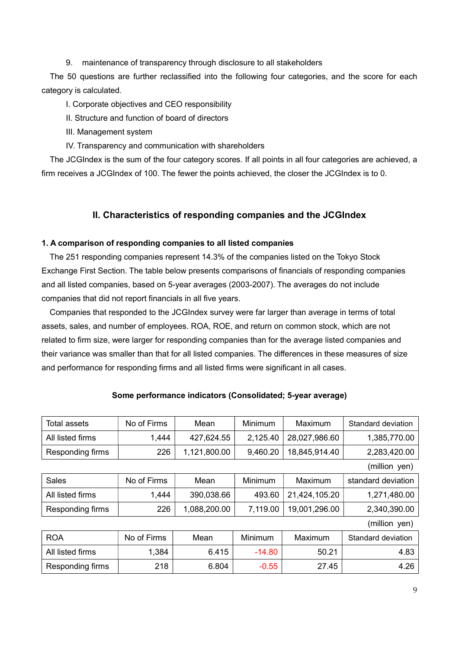9. maintenance of transparency through disclosure to all stakeholders

The 50 questions are further reclassified into the following four categories, and the score for each category is calculated.

I. Corporate objectives and CEO responsibility

II. Structure and function of board of directors

III. Management system

IV. Transparency and communication with shareholders

The JCGIndex is the sum of the four category scores. If all points in all four categories are achieved, a firm receives a JCGIndex of 100. The fewer the points achieved, the closer the JCGIndex is to 0.

## II. Characteristics of responding companies and the JCGIndex

#### 1. A comparison of responding companies to all listed companies

 The 251 responding companies represent 14.3% of the companies listed on the Tokyo Stock Exchange First Section. The table below presents comparisons of financials of responding companies and all listed companies, based on 5-year averages (2003-2007). The averages do not include companies that did not report financials in all five years.

 Companies that responded to the JCGIndex survey were far larger than average in terms of total assets, sales, and number of employees. ROA, ROE, and return on common stock, which are not related to firm size, were larger for responding companies than for the average listed companies and their variance was smaller than that for all listed companies. The differences in these measures of size and performance for responding firms and all listed firms were significant in all cases.

| Total assets     | No of Firms | Mean         | <b>Minimum</b> | Maximum       | Standard deviation |
|------------------|-------------|--------------|----------------|---------------|--------------------|
| All listed firms | 1,444       | 427,624.55   | 2,125.40       | 28,027,986.60 | 1,385,770.00       |
| Responding firms | 226         | 1,121,800.00 | 9,460.20       | 18,845,914.40 | 2,283,420.00       |
|                  |             |              |                |               | (million yen)      |
| Sales            | No of Firms | Mean         | <b>Minimum</b> | Maximum       | standard deviation |
| All listed firms | 1,444       | 390,038.66   | 493.60         | 21,424,105.20 | 1,271,480.00       |
| Responding firms | 226         | 1,088,200.00 | 7,119.00       | 19,001,296.00 | 2,340,390.00       |
|                  |             |              |                |               | (million yen)      |
| <b>ROA</b>       | No of Firms | Mean         | Minimum        | Maximum       | Standard deviation |
| All listed firms | 1,384       | 6.415        | $-14.80$       | 50.21         | 4.83               |
| Responding firms | 218         | 6.804        | $-0.55$        | 27.45         | 4.26               |

## Some performance indicators (Consolidated; 5-year average)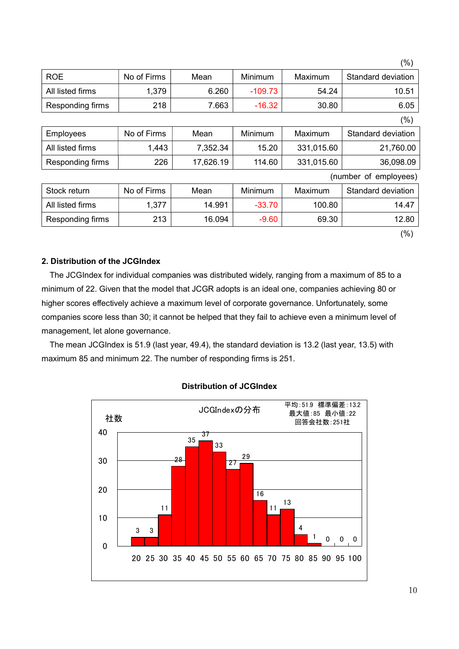|                  |             |           |           |            | (%)                   |
|------------------|-------------|-----------|-----------|------------|-----------------------|
| <b>ROE</b>       | No of Firms | Mean      | Minimum   | Maximum    | Standard deviation    |
| All listed firms | 1,379       | 6.260     | $-109.73$ | 54.24      | 10.51                 |
| Responding firms | 218         | 7.663     | $-16.32$  | 30.80      | 6.05                  |
|                  |             |           |           |            | (%)                   |
| Employees        | No of Firms | Mean      | Minimum   | Maximum    | Standard deviation    |
| All listed firms | 1,443       | 7,352.34  | 15.20     | 331,015.60 | 21,760.00             |
| Responding firms | 226         | 17,626.19 | 114.60    | 331,015.60 | 36,098.09             |
|                  |             |           |           |            | (number of employees) |
| Stock return     | No of Firms | Mean      | Minimum   | Maximum    | Standard deviation    |
| All listed firms | 1,377       | 14.991    | $-33.70$  | 100.80     | 14.47                 |
| Responding firms | 213         | 16.094    | $-9.60$   | 69.30      | 12.80                 |

## (%)

#### 2. Distribution of the JCGIndex

 The JCGIndex for individual companies was distributed widely, ranging from a maximum of 85 to a minimum of 22. Given that the model that JCGR adopts is an ideal one, companies achieving 80 or higher scores effectively achieve a maximum level of corporate governance. Unfortunately, some companies score less than 30; it cannot be helped that they fail to achieve even a minimum level of management, let alone governance.

 The mean JCGIndex is 51.9 (last year, 49.4), the standard deviation is 13.2 (last year, 13.5) with maximum 85 and minimum 22. The number of responding firms is 251.



#### Distribution of JCGIndex

10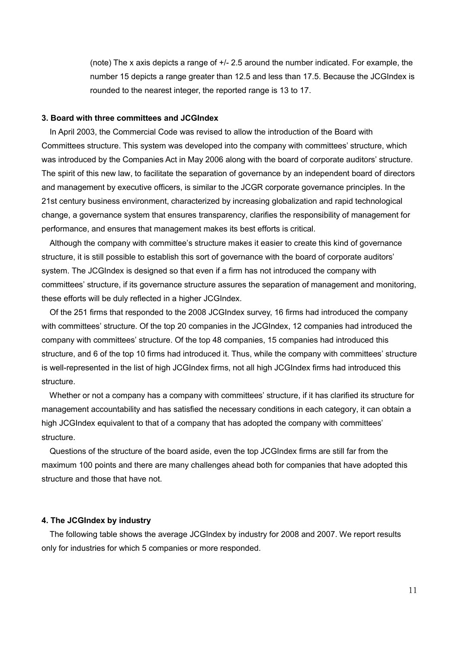(note) The x axis depicts a range of +/- 2.5 around the number indicated. For example, the number 15 depicts a range greater than 12.5 and less than 17.5. Because the JCGIndex is rounded to the nearest integer, the reported range is 13 to 17.

#### 3. Board with three committees and JCGIndex

 In April 2003, the Commercial Code was revised to allow the introduction of the Board with Committees structure. This system was developed into the company with committees' structure, which was introduced by the Companies Act in May 2006 along with the board of corporate auditors' structure. The spirit of this new law, to facilitate the separation of governance by an independent board of directors and management by executive officers, is similar to the JCGR corporate governance principles. In the 21st century business environment, characterized by increasing globalization and rapid technological change, a governance system that ensures transparency, clarifies the responsibility of management for performance, and ensures that management makes its best efforts is critical.

 Although the company with committee's structure makes it easier to create this kind of governance structure, it is still possible to establish this sort of governance with the board of corporate auditors' system. The JCGIndex is designed so that even if a firm has not introduced the company with committees' structure, if its governance structure assures the separation of management and monitoring, these efforts will be duly reflected in a higher JCGIndex.

 Of the 251 firms that responded to the 2008 JCGIndex survey, 16 firms had introduced the company with committees' structure. Of the top 20 companies in the JCGIndex, 12 companies had introduced the company with committees' structure. Of the top 48 companies, 15 companies had introduced this structure, and 6 of the top 10 firms had introduced it. Thus, while the company with committees' structure is well-represented in the list of high JCGIndex firms, not all high JCGIndex firms had introduced this structure.

 Whether or not a company has a company with committees' structure, if it has clarified its structure for management accountability and has satisfied the necessary conditions in each category, it can obtain a high JCGIndex equivalent to that of a company that has adopted the company with committees' structure.

 Questions of the structure of the board aside, even the top JCGIndex firms are still far from the maximum 100 points and there are many challenges ahead both for companies that have adopted this structure and those that have not.

#### 4. The JCGIndex by industry

 The following table shows the average JCGIndex by industry for 2008 and 2007. We report results only for industries for which 5 companies or more responded.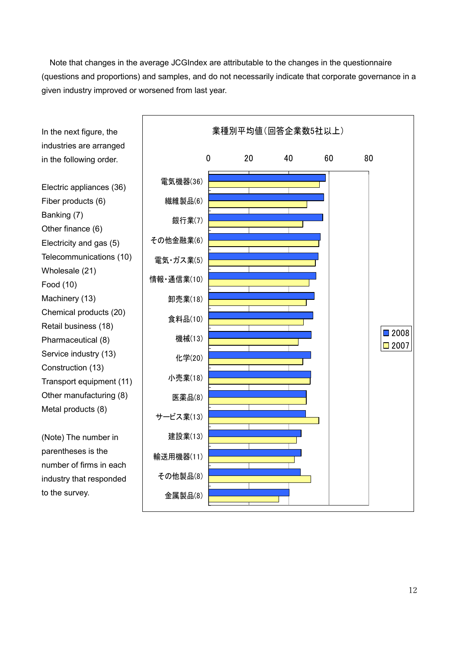Note that changes in the average JCGIndex are attributable to the changes in the questionnaire (questions and proportions) and samples, and do not necessarily indicate that corporate governance in a given industry improved or worsened from last year.

In the next figure, the industries are arranged in the following order.

Electric appliances (36) Fiber products (6) Banking (7) Other finance (6) Electricity and gas (5) Telecommunications (10) Wholesale (21) Food (10) Machinery (13) Chemical products (20) Retail business (18) Pharmaceutical (8) Service industry (13) Construction (13) Transport equipment (11) Other manufacturing (8) Metal products (8)

(Note) The number in parentheses is the number of firms in each industry that responded to the survey.

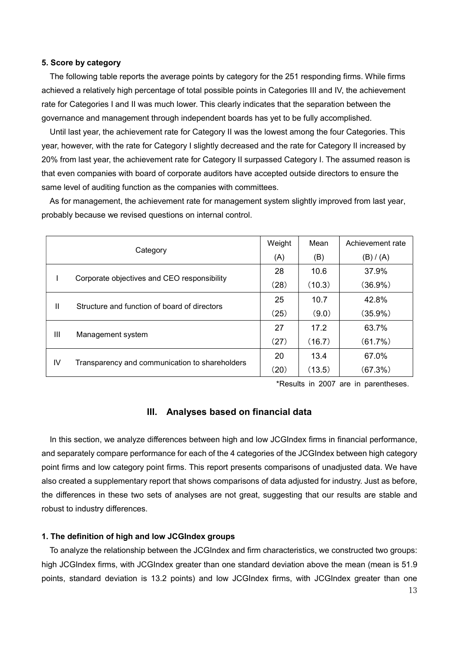#### 5. Score by category

The following table reports the average points by category for the 251 responding firms. While firms achieved a relatively high percentage of total possible points in Categories III and IV, the achievement rate for Categories I and II was much lower. This clearly indicates that the separation between the governance and management through independent boards has yet to be fully accomplished.

Until last year, the achievement rate for Category II was the lowest among the four Categories. This year, however, with the rate for Category I slightly decreased and the rate for Category II increased by 20% from last year, the achievement rate for Category II surpassed Category I. The assumed reason is that even companies with board of corporate auditors have accepted outside directors to ensure the same level of auditing function as the companies with committees.

 As for management, the achievement rate for management system slightly improved from last year, probably because we revised questions on internal control.

|                   |                                                              | Weight | Mean   | Achievement rate |
|-------------------|--------------------------------------------------------------|--------|--------|------------------|
|                   | Category                                                     | (A)    | (B)    | (B) / (A)        |
|                   |                                                              | 28     | 10.6   | 37.9%            |
|                   | Corporate objectives and CEO responsibility                  |        | (10.3) | $(36.9\%)$       |
|                   | $\mathbf{I}$<br>Structure and function of board of directors |        | 10.7   | 42.8%            |
|                   |                                                              |        | (9.0)  | $(35.9\%)$       |
| Ш                 |                                                              |        | 17.2   | 63.7%            |
| Management system |                                                              | (27)   | (16.7) | (61.7%)          |
|                   |                                                              | 20     | 13.4   | 67.0%            |
| IV                | Transparency and communication to shareholders               | (20)   | (13.5) | (67.3%)          |

\*Results in 2007 are in parentheses.

#### III. Analyses based on financial data

In this section, we analyze differences between high and low JCGIndex firms in financial performance, and separately compare performance for each of the 4 categories of the JCGIndex between high category point firms and low category point firms. This report presents comparisons of unadjusted data. We have also created a supplementary report that shows comparisons of data adjusted for industry. Just as before, the differences in these two sets of analyses are not great, suggesting that our results are stable and robust to industry differences.

#### 1. The definition of high and low JCGIndex groups

 To analyze the relationship between the JCGIndex and firm characteristics, we constructed two groups: high JCGIndex firms, with JCGIndex greater than one standard deviation above the mean (mean is 51.9 points, standard deviation is 13.2 points) and low JCGIndex firms, with JCGIndex greater than one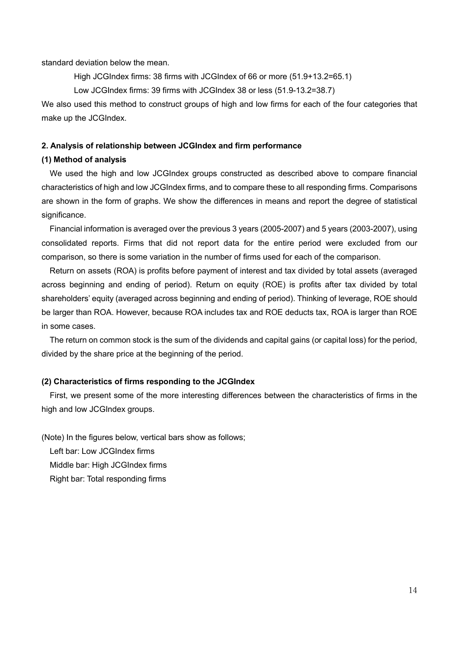standard deviation below the mean.

High JCGIndex firms: 38 firms with JCGIndex of 66 or more (51.9+13.2=65.1)

Low JCGIndex firms: 39 firms with JCGIndex 38 or less (51.9-13.2=38.7)

We also used this method to construct groups of high and low firms for each of the four categories that make up the JCGIndex.

#### 2. Analysis of relationship between JCGIndex and firm performance

#### (1) Method of analysis

We used the high and low JCGIndex groups constructed as described above to compare financial characteristics of high and low JCGIndex firms, and to compare these to all responding firms. Comparisons are shown in the form of graphs. We show the differences in means and report the degree of statistical significance.

 Financial information is averaged over the previous 3 years (2005-2007) and 5 years (2003-2007), using consolidated reports. Firms that did not report data for the entire period were excluded from our comparison, so there is some variation in the number of firms used for each of the comparison.

 Return on assets (ROA) is profits before payment of interest and tax divided by total assets (averaged across beginning and ending of period). Return on equity (ROE) is profits after tax divided by total shareholders' equity (averaged across beginning and ending of period). Thinking of leverage, ROE should be larger than ROA. However, because ROA includes tax and ROE deducts tax, ROA is larger than ROE in some cases.

 The return on common stock is the sum of the dividends and capital gains (or capital loss) for the period, divided by the share price at the beginning of the period.

#### (2) Characteristics of firms responding to the JCGIndex

First, we present some of the more interesting differences between the characteristics of firms in the high and low JCGIndex groups.

(Note) In the figures below, vertical bars show as follows;

Left bar: Low JCGIndex firms

Middle bar: High JCGIndex firms

Right bar: Total responding firms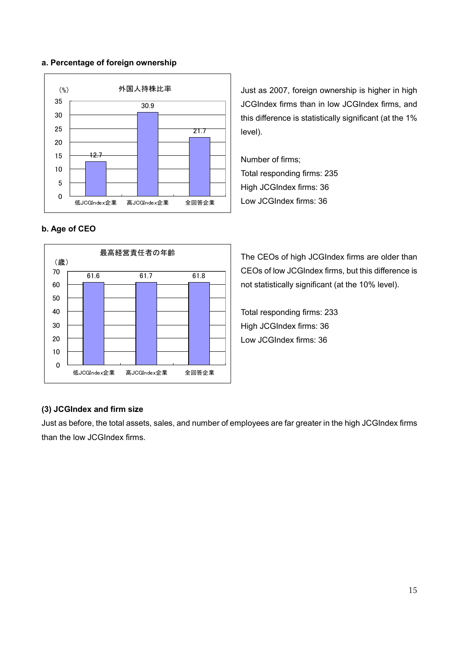#### a. Percentage of foreign ownership



Just as 2007, foreign ownership is higher in high JCGIndex firms than in low JCGIndex firms, and this difference is statistically significant (at the 1% level).

Number of firms; Total responding firms: 235 High JCGIndex firms: 36 Low JCGIndex firms: 36

## b. Age of CEO



The CEOs of high JCGIndex firms are older than CEOs of low JCGIndex firms, but this difference is not statistically significant (at the 10% level).

Total responding firms: 233 High JCGIndex firms: 36 Low JCGIndex firms: 36

## (3) JCGIndex and firm size

Just as before, the total assets, sales, and number of employees are far greater in the high JCGIndex firms than the low JCGIndex firms.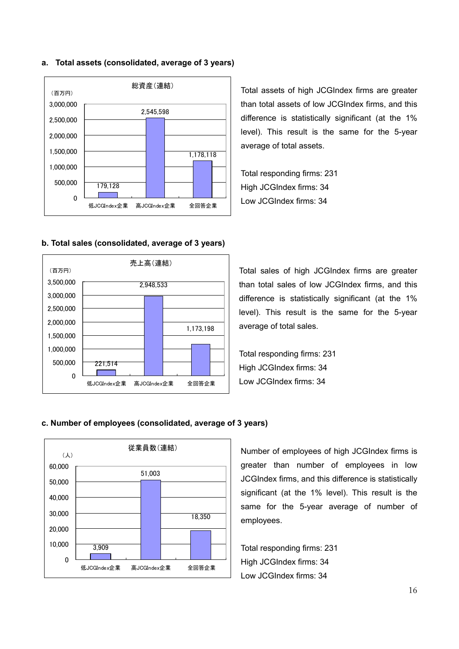#### a. Total assets (consolidated, average of 3 years)



#### b. Total sales (consolidated, average of 3 years)



Total assets of high JCGIndex firms are greater than total assets of low JCGIndex firms, and this difference is statistically significant (at the 1% level). This result is the same for the 5-year average of total assets.

Total responding firms: 231 High JCGIndex firms: 34 Low JCGIndex firms: 34

Total sales of high JCGIndex firms are greater than total sales of low JCGIndex firms, and this difference is statistically significant (at the 1% level). This result is the same for the 5-year average of total sales.

Total responding firms: 231 High JCGIndex firms: 34 Low JCGIndex firms: 34

#### c. Number of employees (consolidated, average of 3 years)



Number of employees of high JCGIndex firms is greater than number of employees in low JCGIndex firms, and this difference is statistically significant (at the 1% level). This result is the same for the 5-year average of number of employees.

Total responding firms: 231 High JCGIndex firms: 34 Low JCGIndex firms: 34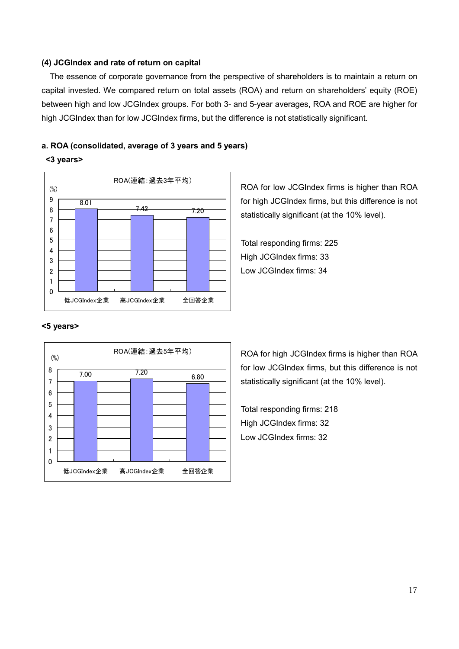#### (4) JCGIndex and rate of return on capital

The essence of corporate governance from the perspective of shareholders is to maintain a return on capital invested. We compared return on total assets (ROA) and return on shareholders' equity (ROE) between high and low JCGIndex groups. For both 3- and 5-year averages, ROA and ROE are higher for high JCGIndex than for low JCGIndex firms, but the difference is not statistically significant.

#### a. ROA (consolidated, average of 3 years and 5 years)

#### <3 years>



ROA for low JCGIndex firms is higher than ROA for high JCGIndex firms, but this difference is not statistically significant (at the 10% level).

Total responding firms: 225 High JCGIndex firms: 33 Low JCGIndex firms: 34

#### <5 years>



ROA for high JCGIndex firms is higher than ROA for low JCGIndex firms, but this difference is not statistically significant (at the 10% level).

Total responding firms: 218 High JCGIndex firms: 32 Low JCGIndex firms: 32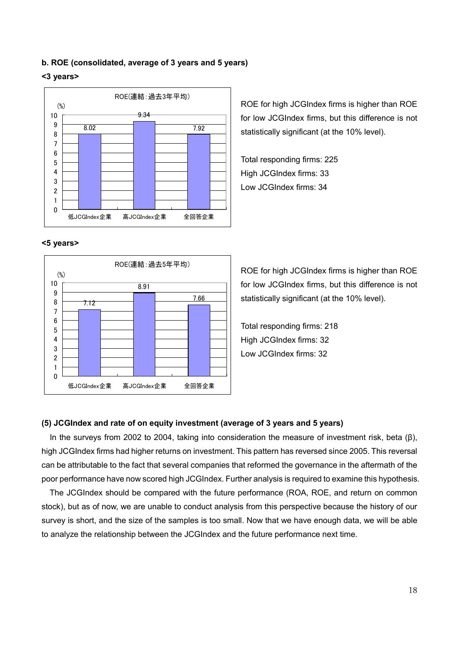#### b. ROE (consolidated, average of 3 years and 5 years)

#### <3 years>



#### <5 years>



ROE for high JCGIndex firms is higher than ROE for low JCGIndex firms, but this difference is not statistically significant (at the 10% level).

Total responding firms: 225 High JCGIndex firms: 33 Low JCGIndex firms: 34

ROE for high JCGIndex firms is higher than ROE for low JCGIndex firms, but this difference is not statistically significant (at the 10% level).

Total responding firms: 218 High JCGIndex firms: 32 Low JCGIndex firms: 32

#### (5) JCGIndex and rate of on equity investment (average of 3 years and 5 years)

In the surveys from 2002 to 2004, taking into consideration the measure of investment risk, beta (β), high JCGIndex firms had higher returns on investment. This pattern has reversed since 2005. This reversal can be attributable to the fact that several companies that reformed the governance in the aftermath of the poor performance have now scored high JCGIndex. Further analysis is required to examine this hypothesis.

 The JCGIndex should be compared with the future performance (ROA, ROE, and return on common stock), but as of now, we are unable to conduct analysis from this perspective because the history of our survey is short, and the size of the samples is too small. Now that we have enough data, we will be able to analyze the relationship between the JCGIndex and the future performance next time.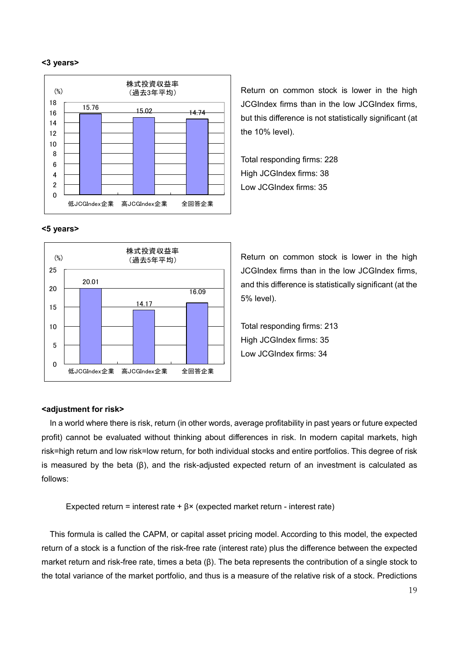#### <3 years>



Return on common stock is lower in the high JCGIndex firms than in the low JCGIndex firms, but this difference is not statistically significant (at the 10% level).

Total responding firms: 228 High JCGIndex firms: 38 Low JCGIndex firms: 35

#### <5 years>



Return on common stock is lower in the high JCGIndex firms than in the low JCGIndex firms, and this difference is statistically significant (at the 5% level).

Total responding firms: 213 High JCGIndex firms: 35 Low JCGIndex firms: 34

#### <adjustment for risk>

In a world where there is risk, return (in other words, average profitability in past years or future expected profit) cannot be evaluated without thinking about differences in risk. In modern capital markets, high risk=high return and low risk=low return, for both individual stocks and entire portfolios. This degree of risk is measured by the beta (β), and the risk-adjusted expected return of an investment is calculated as follows:

Expected return = interest rate +  $\beta$ × (expected market return - interest rate)

This formula is called the CAPM, or capital asset pricing model. According to this model, the expected return of a stock is a function of the risk-free rate (interest rate) plus the difference between the expected market return and risk-free rate, times a beta (β). The beta represents the contribution of a single stock to the total variance of the market portfolio, and thus is a measure of the relative risk of a stock. Predictions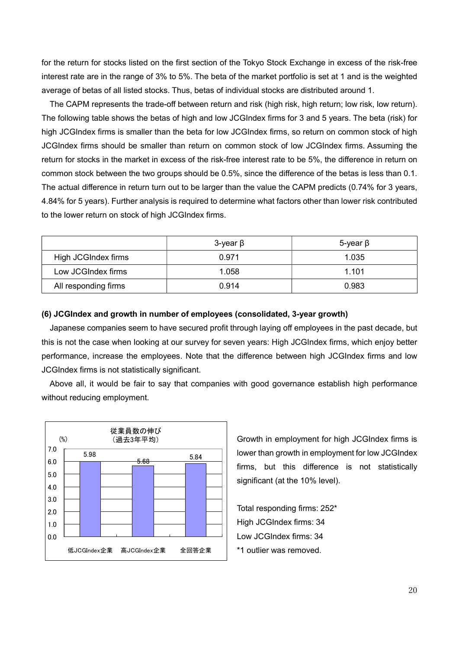for the return for stocks listed on the first section of the Tokyo Stock Exchange in excess of the risk-free interest rate are in the range of 3% to 5%. The beta of the market portfolio is set at 1 and is the weighted average of betas of all listed stocks. Thus, betas of individual stocks are distributed around 1.

 The CAPM represents the trade-off between return and risk (high risk, high return; low risk, low return). The following table shows the betas of high and low JCGIndex firms for 3 and 5 years. The beta (risk) for high JCGIndex firms is smaller than the beta for low JCGIndex firms, so return on common stock of high JCGIndex firms should be smaller than return on common stock of low JCGIndex firms. Assuming the return for stocks in the market in excess of the risk-free interest rate to be 5%, the difference in return on common stock between the two groups should be 0.5%, since the difference of the betas is less than 0.1. The actual difference in return turn out to be larger than the value the CAPM predicts (0.74% for 3 years, 4.84% for 5 years). Further analysis is required to determine what factors other than lower risk contributed to the lower return on stock of high JCGIndex firms.

|                      | $3$ -year $\beta$ | 5-year $\beta$ |
|----------------------|-------------------|----------------|
| High JCGIndex firms  | 0.971             | 1.035          |
| Low JCGIndex firms   | 1.058             | 1.101          |
| All responding firms | 0.914             | 0.983          |

#### (6) JCGIndex and growth in number of employees (consolidated, 3-year growth)

Japanese companies seem to have secured profit through laying off employees in the past decade, but this is not the case when looking at our survey for seven years: High JCGIndex firms, which enjoy better performance, increase the employees. Note that the difference between high JCGIndex firms and low JCGIndex firms is not statistically significant.

 Above all, it would be fair to say that companies with good governance establish high performance without reducing employment.



Growth in employment for high JCGIndex firms is lower than growth in employment for low JCGIndex firms, but this difference is not statistically significant (at the 10% level).

Total responding firms: 252\* High JCGIndex firms: 34 Low JCGIndex firms: 34 \*1 outlier was removed.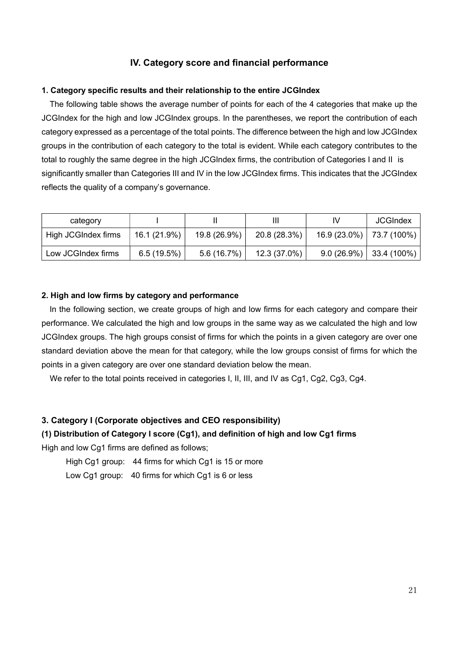## IV. Category score and financial performance

#### 1. Category specific results and their relationship to the entire JCGIndex

 The following table shows the average number of points for each of the 4 categories that make up the JCGIndex for the high and low JCGIndex groups. In the parentheses, we report the contribution of each category expressed as a percentage of the total points. The difference between the high and low JCGIndex groups in the contribution of each category to the total is evident. While each category contributes to the total to roughly the same degree in the high JCGIndex firms, the contribution of Categories I and II is significantly smaller than Categories III and IV in the low JCGIndex firms. This indicates that the JCGIndex reflects the quality of a company's governance.

| category            |              |              | Ш            | IV                         | <b>JCGIndex</b>           |
|---------------------|--------------|--------------|--------------|----------------------------|---------------------------|
| High JCGIndex firms | 16.1 (21.9%) | 19.8 (26.9%) | 20.8 (28.3%) | $16.9(23.0\%)$ 73.7 (100%) |                           |
| Low JCGIndex firms  | 6.5(19.5%)   | 5.6(16.7%)   | 12.3 (37.0%) |                            | $9.0(26.9\%)$ 33.4 (100%) |

#### 2. High and low firms by category and performance

 In the following section, we create groups of high and low firms for each category and compare their performance. We calculated the high and low groups in the same way as we calculated the high and low JCGIndex groups. The high groups consist of firms for which the points in a given category are over one standard deviation above the mean for that category, while the low groups consist of firms for which the points in a given category are over one standard deviation below the mean.

We refer to the total points received in categories I, II, III, and IV as Cg1, Cg2, Cg3, Cg4.

## 3. Category I (Corporate objectives and CEO responsibility)

#### (1) Distribution of Category I score (Cg1), and definition of high and low Cg1 firms

High and low Cg1 firms are defined as follows;

High Cg1 group: 44 firms for which Cg1 is 15 or more

Low Cg1 group: 40 firms for which Cg1 is 6 or less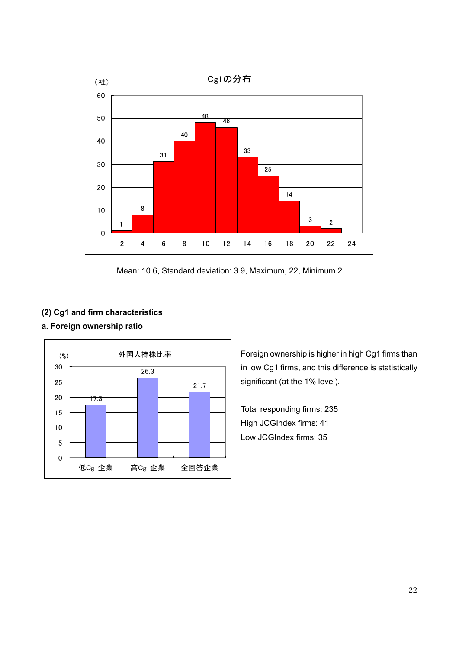

Mean: 10.6, Standard deviation: 3.9, Maximum, 22, Minimum 2

## (2) Cg1 and firm characteristics

## a. Foreign ownership ratio



Foreign ownership is higher in high Cg1 firms than in low Cg1 firms, and this difference is statistically significant (at the 1% level).

Total responding firms: 235 High JCGIndex firms: 41 Low JCGIndex firms: 35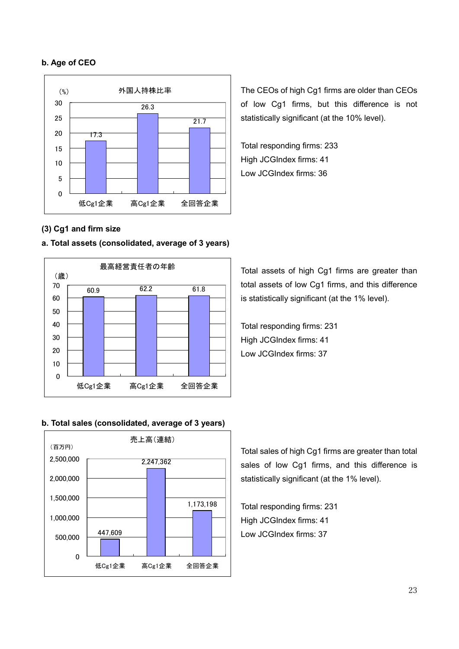#### b. Age of CEO



(3) Cg1 and firm size

#### a. Total assets (consolidated, average of 3 years)



b. Total sales (consolidated, average of 3 years)



The CEOs of high Cg1 firms are older than CEOs of low Cg1 firms, but this difference is not statistically significant (at the 10% level).

Total responding firms: 233 High JCGIndex firms: 41 Low JCGIndex firms: 36

Total assets of high Cg1 firms are greater than total assets of low Cg1 firms, and this difference is statistically significant (at the 1% level).

Total responding firms: 231 High JCGIndex firms: 41 Low JCGIndex firms: 37

Total sales of high Cg1 firms are greater than total sales of low Cg1 firms, and this difference is statistically significant (at the 1% level).

Total responding firms: 231 High JCGIndex firms: 41 Low JCGIndex firms: 37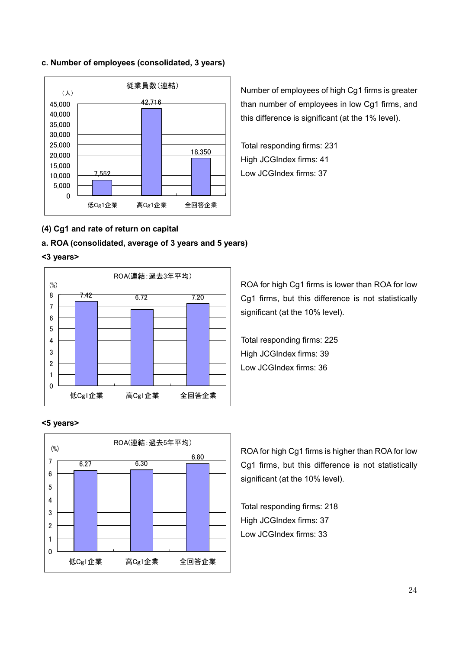#### c. Number of employees (consolidated, 3 years)



Number of employees of high Cg1 firms is greater than number of employees in low Cg1 firms, and this difference is significant (at the 1% level).

Total responding firms: 231 High JCGIndex firms: 41 Low JCGIndex firms: 37

## (4) Cg1 and rate of return on capital

## a. ROA (consolidated, average of 3 years and 5 years)

#### <3 years>



<5 years>



ROA for high Cg1 firms is lower than ROA for low Cg1 firms, but this difference is not statistically significant (at the 10% level).

Total responding firms: 225 High JCGIndex firms: 39 Low JCGIndex firms: 36

ROA for high Cg1 firms is higher than ROA for low Cg1 firms, but this difference is not statistically significant (at the 10% level).

Total responding firms: 218 High JCGIndex firms: 37 Low JCGIndex firms: 33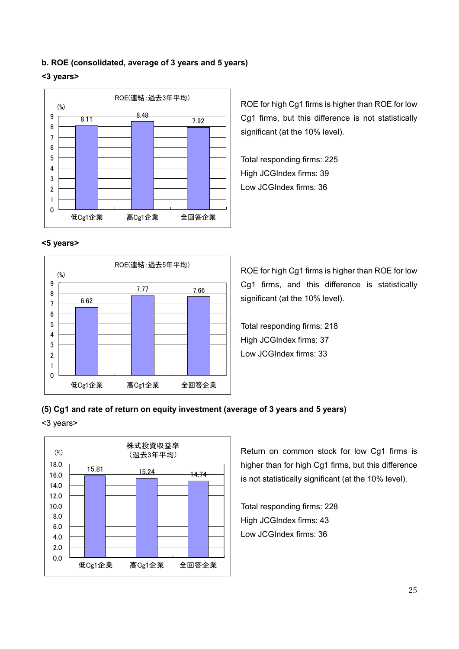#### b. ROE (consolidated, average of 3 years and 5 years)

#### <3 years>



<5 years>



ROE for high Cg1 firms is higher than ROE for low Cg1 firms, but this difference is not statistically significant (at the 10% level).

Total responding firms: 225 High JCGIndex firms: 39 Low JCGIndex firms: 36

ROE for high Cg1 firms is higher than ROE for low Cg1 firms, and this difference is statistically significant (at the 10% level).

Total responding firms: 218 High JCGIndex firms: 37 Low JCGIndex firms: 33

## (5) Cg1 and rate of return on equity investment (average of 3 years and 5 years)

<3 years>



Return on common stock for low Cg1 firms is higher than for high Cg1 firms, but this difference is not statistically significant (at the 10% level).

Total responding firms: 228 High JCGIndex firms: 43 Low JCGIndex firms: 36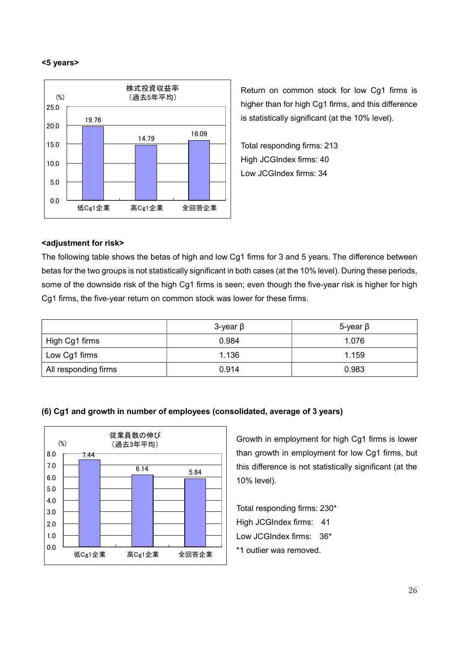#### <5 years>



Return on common stock for low Cg1 firms is higher than for high Cg1 firms, and this difference is statistically significant (at the 10% level).

Total responding firms: 213 High JCGIndex firms: 40 Low JCGIndex firms: 34

#### <adjustment for risk>

The following table shows the betas of high and low Cg1 firms for 3 and 5 years. The difference between betas for the two groups is not statistically significant in both cases (at the 10% level). During these periods, some of the downside risk of the high Cg1 firms is seen; even though the five-year risk is higher for high Cg1 firms, the five-year return on common stock was lower for these firms.

|                      | 3-year $\beta$ | 5-γear β |
|----------------------|----------------|----------|
| High Cg1 firms       | 0.984          | 1.076    |
| Low Cg1 firms        | 1.136          | 1.159    |
| All responding firms | 0.914          | 0.983    |



#### (6) Cg1 and growth in number of employees (consolidated, average of 3 years)

Growth in employment for high Cg1 firms is lower than growth in employment for low Cg1 firms, but this difference is not statistically significant (at the 10% level).

Total responding firms: 230\* High JCGIndex firms: 41 Low JCGIndex firms: 36\* \*1 outlier was removed.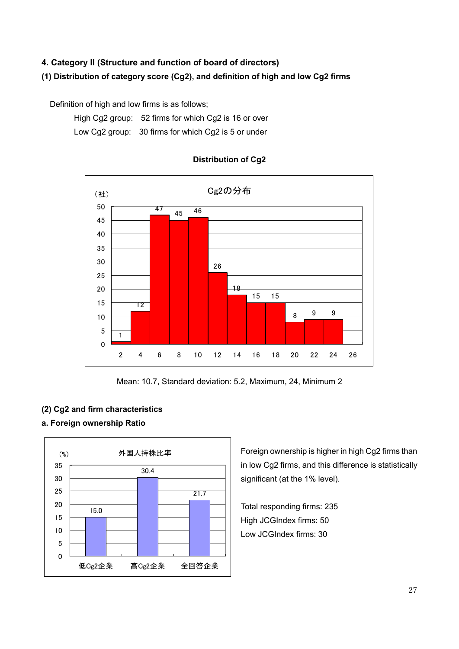## 4. Category II (Structure and function of board of directors)

## (1) Distribution of category score (Cg2), and definition of high and low Cg2 firms

Definition of high and low firms is as follows;

High Cg2 group: 52 firms for which Cg2 is 16 or over

Low Cg2 group: 30 firms for which Cg2 is 5 or under



## Distribution of Cg2

Mean: 10.7, Standard deviation: 5.2, Maximum, 24, Minimum 2

## (2) Cg2 and firm characteristics

## a. Foreign ownership Ratio



Foreign ownership is higher in high Cg2 firms than in low Cg2 firms, and this difference is statistically significant (at the 1% level).

Total responding firms: 235 High JCGIndex firms: 50 Low JCGIndex firms: 30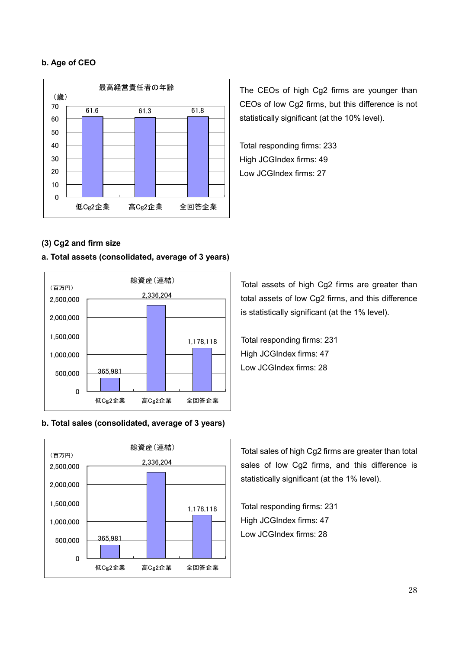## b. Age of CEO



The CEOs of high Cg2 firms are younger than CEOs of low Cg2 firms, but this difference is not statistically significant (at the 10% level).

Total responding firms: 233 High JCGIndex firms: 49 Low JCGIndex firms: 27

## (3) Cg2 and firm size

#### a. Total assets (consolidated, average of 3 years)



#### b. Total sales (consolidated, average of 3 years)



Total assets of high Cg2 firms are greater than total assets of low Cg2 firms, and this difference is statistically significant (at the 1% level).

Total responding firms: 231 High JCGIndex firms: 47 Low JCGIndex firms: 28

Total sales of high Cg2 firms are greater than total sales of low Cg2 firms, and this difference is statistically significant (at the 1% level).

Total responding firms: 231 High JCGIndex firms: 47 Low JCGIndex firms: 28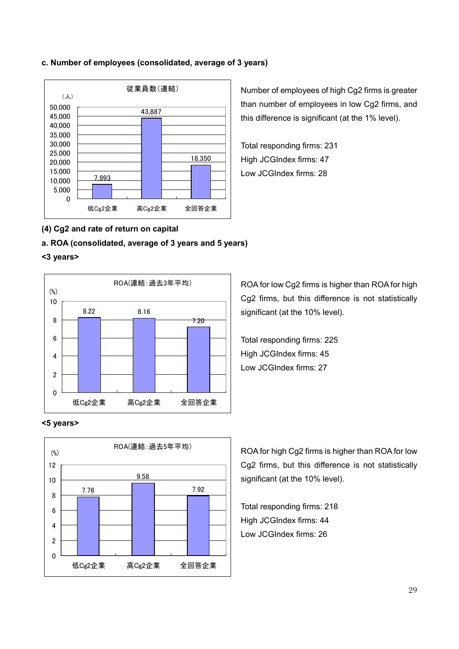#### c. Number of employees (consolidated, average of 3 years)



Number of employees of high Cg2 firms is greater than number of employees in low Cg2 firms, and this difference is significant (at the 1% level).

Total responding firms: 231 High JCGIndex firms: 47 Low JCGIndex firms: 28

## (4) Cg2 and rate of return on capital

## a. ROA (consolidated, average of 3 years and 5 years)

#### <3 years>



<5 years>



ROA for low Cg2 firms is higher than ROA for high Cg2 firms, but this difference is not statistically significant (at the 10% level).

Total responding firms: 225 High JCGIndex firms: 45 Low JCGIndex firms: 27

ROA for high Cg2 firms is higher than ROA for low Cg2 firms, but this difference is not statistically significant (at the 10% level).

Total responding firms: 218 High JCGIndex firms: 44 Low JCGIndex firms: 26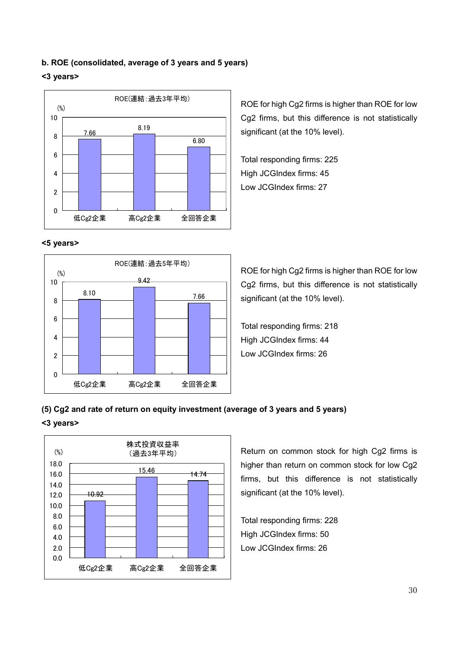#### b. ROE (consolidated, average of 3 years and 5 years)

#### <3 years>



#### <5 years>



ROE for high Cg2 firms is higher than ROE for low Cg2 firms, but this difference is not statistically significant (at the 10% level).

Total responding firms: 225 High JCGIndex firms: 45 Low JCGIndex firms: 27

ROE for high Cg2 firms is higher than ROE for low Cg2 firms, but this difference is not statistically significant (at the 10% level).

Total responding firms: 218 High JCGIndex firms: 44 Low JCGIndex firms: 26

## (5) Cg2 and rate of return on equity investment (average of 3 years and 5 years)

#### <3 years>



Return on common stock for high Cg2 firms is higher than return on common stock for low Cg2 firms, but this difference is not statistically significant (at the 10% level).

Total responding firms: 228 High JCGIndex firms: 50 Low JCGIndex firms: 26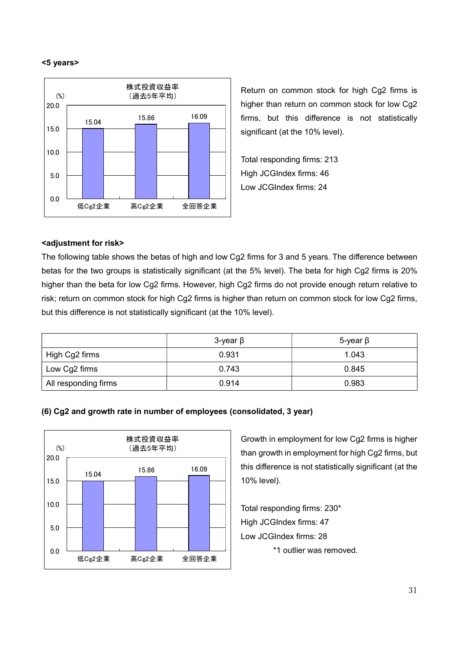#### <5 years>



Return on common stock for high Cg2 firms is higher than return on common stock for low Cg2 firms, but this difference is not statistically significant (at the 10% level).

Total responding firms: 213 High JCGIndex firms: 46 Low JCGIndex firms: 24

#### <adjustment for risk>

The following table shows the betas of high and low Cg2 firms for 3 and 5 years. The difference between betas for the two groups is statistically significant (at the 5% level). The beta for high Cg2 firms is 20% higher than the beta for low Cg2 firms. However, high Cg2 firms do not provide enough return relative to risk; return on common stock for high Cg2 firms is higher than return on common stock for low Cg2 firms, but this difference is not statistically significant (at the 10% level).

|                      | $3$ -year $\beta$ | $5$ -year $\beta$ |
|----------------------|-------------------|-------------------|
| High Cg2 firms       | 0.931             | 1.043             |
| Low Cg2 firms        | 0.743             | 0.845             |
| All responding firms | 0.914             | 0.983             |

#### (6) Cg2 and growth rate in number of employees (consolidated, 3 year)



Growth in employment for low Cg2 firms is higher than growth in employment for high Cg2 firms, but this difference is not statistically significant (at the 10% level).

Total responding firms: 230\* High JCGIndex firms: 47 Low JCGIndex firms: 28 \*1 outlier was removed.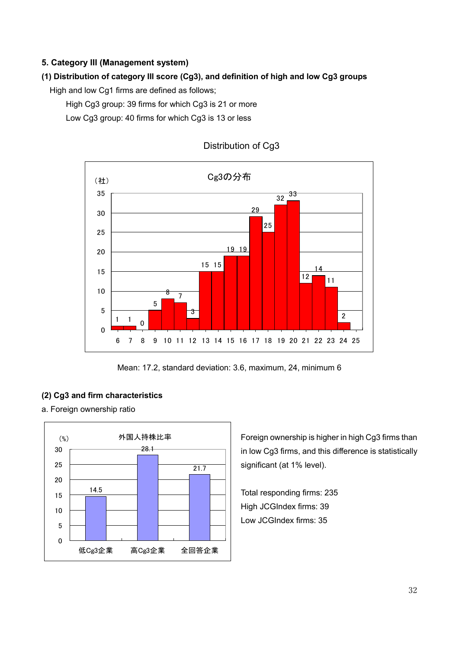## 5. Category III (Management system)

## (1) Distribution of category III score (Cg3), and definition of high and low Cg3 groups

High and low Cg1 firms are defined as follows;

High Cg3 group: 39 firms for which Cg3 is 21 or more

Low Cg3 group: 40 firms for which Cg3 is 13 or less



## Distribution of Cg3

Mean: 17.2, standard deviation: 3.6, maximum, 24, minimum 6

## (2) Cg3 and firm characteristics

a. Foreign ownership ratio



Foreign ownership is higher in high Cg3 firms than in low Cg3 firms, and this difference is statistically significant (at 1% level).

Total responding firms: 235 High JCGIndex firms: 39 Low JCGIndex firms: 35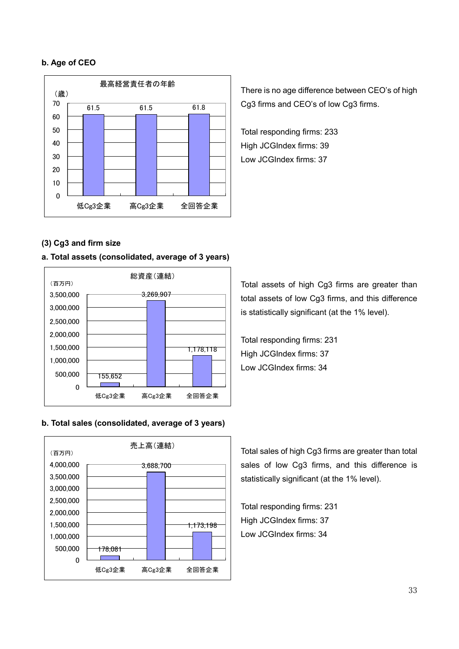#### b. Age of CEO



There is no age difference between CEO's of high Cg3 firms and CEO's of low Cg3 firms.

Total responding firms: 233 High JCGIndex firms: 39 Low JCGIndex firms: 37

## (3) Cg3 and firm size

#### a. Total assets (consolidated, average of 3 years)



b. Total sales (consolidated, average of 3 years)



Total assets of high Cg3 firms are greater than total assets of low Cg3 firms, and this difference is statistically significant (at the 1% level).

Total responding firms: 231 High JCGIndex firms: 37 Low JCGIndex firms: 34

Total sales of high Cg3 firms are greater than total sales of low Cg3 firms, and this difference is statistically significant (at the 1% level).

Total responding firms: 231 High JCGIndex firms: 37 Low JCGIndex firms: 34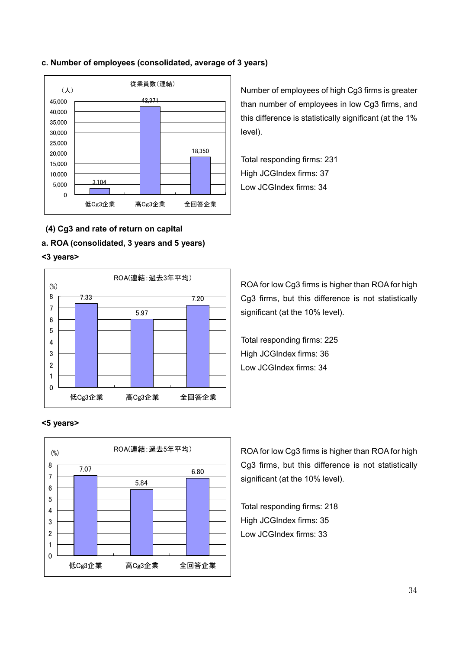#### c. Number of employees (consolidated, average of 3 years)



Number of employees of high Cg3 firms is greater than number of employees in low Cg3 firms, and this difference is statistically significant (at the 1% level).

Total responding firms: 231 High JCGIndex firms: 37 Low JCGIndex firms: 34

- (4) Cg3 and rate of return on capital
- a. ROA (consolidated, 3 years and 5 years)

#### <3 years>



#### <5 years>



ROA for low Cg3 firms is higher than ROA for high Cg3 firms, but this difference is not statistically significant (at the 10% level).

Total responding firms: 225 High JCGIndex firms: 36 Low JCGIndex firms: 34

ROA for low Cg3 firms is higher than ROA for high Cg3 firms, but this difference is not statistically significant (at the 10% level).

Total responding firms: 218 High JCGIndex firms: 35 Low JCGIndex firms: 33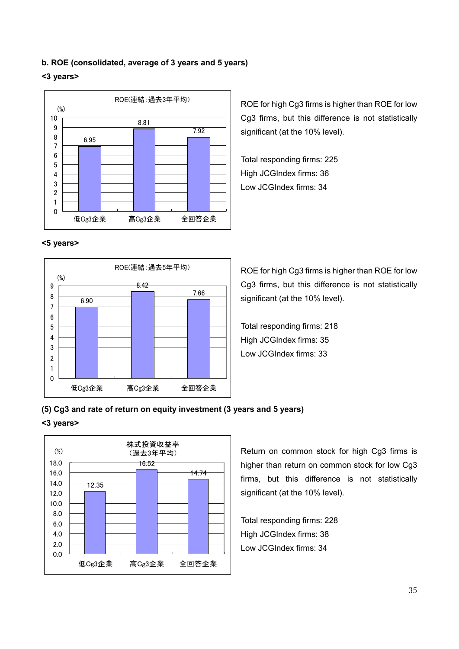#### b. ROE (consolidated, average of 3 years and 5 years)

#### <3 years>



ROE for high Cg3 firms is higher than ROE for low Cg3 firms, but this difference is not statistically significant (at the 10% level).

Total responding firms: 225 High JCGIndex firms: 36 Low JCGIndex firms: 34

#### <5 years>



ROE for high Cg3 firms is higher than ROE for low Cg3 firms, but this difference is not statistically significant (at the 10% level).

Total responding firms: 218 High JCGIndex firms: 35 Low JCGIndex firms: 33

### (5) Cg3 and rate of return on equity investment (3 years and 5 years)

#### <3 years>



Return on common stock for high Cg3 firms is higher than return on common stock for low Cg3 firms, but this difference is not statistically significant (at the 10% level).

Total responding firms: 228 High JCGIndex firms: 38 Low JCGIndex firms: 34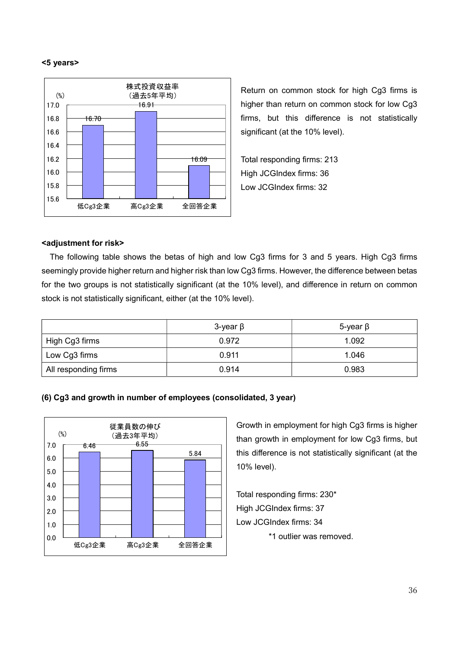#### <5 years>



Return on common stock for high Cg3 firms is higher than return on common stock for low Cg3 firms, but this difference is not statistically significant (at the 10% level).

Total responding firms: 213 High JCGIndex firms: 36 Low JCGIndex firms: 32

#### <adjustment for risk>

The following table shows the betas of high and low Cg3 firms for 3 and 5 years. High Cg3 firms seemingly provide higher return and higher risk than low Cg3 firms. However, the difference between betas for the two groups is not statistically significant (at the 10% level), and difference in return on common stock is not statistically significant, either (at the 10% level).

|                      | $3$ -year $\beta$ | $5$ -year $\beta$ |  |
|----------------------|-------------------|-------------------|--|
| High Cg3 firms       | 0.972             | 1.092             |  |
| Low Cg3 firms        | 0.911             | 1.046             |  |
| All responding firms | 0.914             | 0.983             |  |





Growth in employment for high Cg3 firms is higher than growth in employment for low Cg3 firms, but this difference is not statistically significant (at the 10% level).

Total responding firms: 230\* High JCGIndex firms: 37 Low JCGIndex firms: 34 \*1 outlier was removed.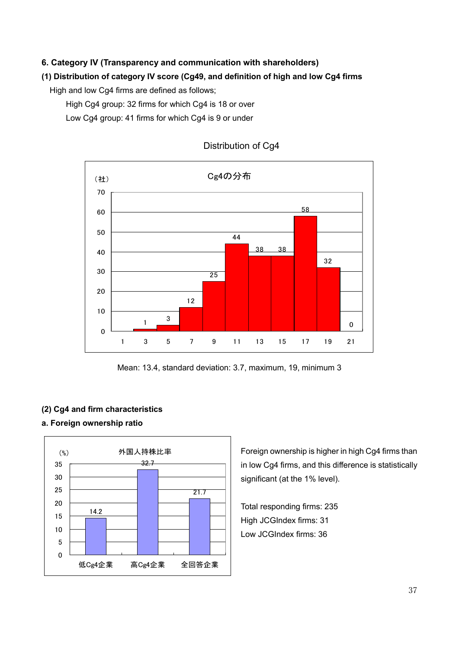## 6. Category IV (Transparency and communication with shareholders)

## (1) Distribution of category IV score (Cg49, and definition of high and low Cg4 firms

High and low Cg4 firms are defined as follows;

High Cg4 group: 32 firms for which Cg4 is 18 or over

Low Cg4 group: 41 firms for which Cg4 is 9 or under



## Distribution of Cg4

Mean: 13.4, standard deviation: 3.7, maximum, 19, minimum 3

#### (2) Cg4 and firm characteristics

### a. Foreign ownership ratio



Foreign ownership is higher in high Cg4 firms than in low Cg4 firms, and this difference is statistically significant (at the 1% level).

Total responding firms: 235 High JCGIndex firms: 31 Low JCGIndex firms: 36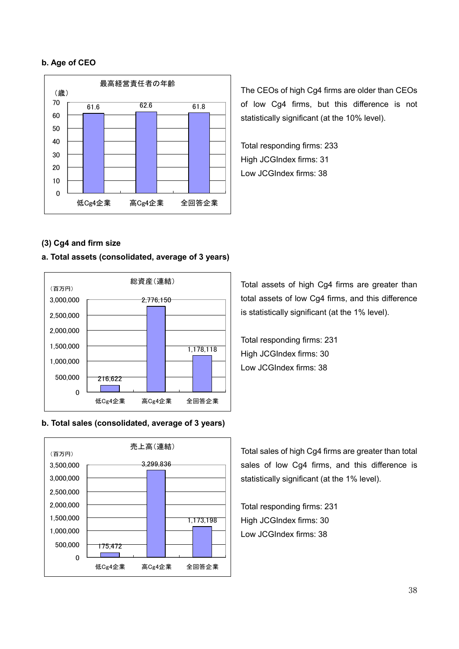#### b. Age of CEO



The CEOs of high Cg4 firms are older than CEOs of low Cg4 firms, but this difference is not statistically significant (at the 10% level).

Total responding firms: 233 High JCGIndex firms: 31 Low JCGIndex firms: 38

## (3) Cg4 and firm size

#### a. Total assets (consolidated, average of 3 years)



#### b. Total sales (consolidated, average of 3 years)



Total assets of high Cg4 firms are greater than total assets of low Cg4 firms, and this difference is statistically significant (at the 1% level).

Total responding firms: 231 High JCGIndex firms: 30 Low JCGIndex firms: 38

Total sales of high Cg4 firms are greater than total sales of low Cg4 firms, and this difference is statistically significant (at the 1% level).

Total responding firms: 231 High JCGIndex firms: 30 Low JCGIndex firms: 38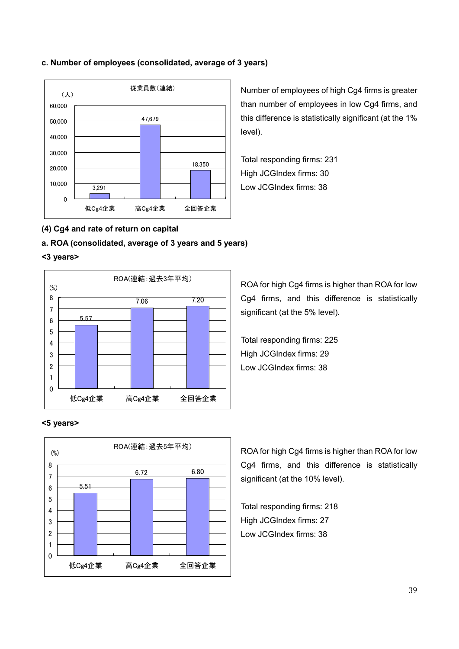#### c. Number of employees (consolidated, average of 3 years)



Number of employees of high Cg4 firms is greater than number of employees in low Cg4 firms, and this difference is statistically significant (at the 1% level).

Total responding firms: 231 High JCGIndex firms: 30 Low JCGIndex firms: 38

## (4) Cg4 and rate of return on capital

## a. ROA (consolidated, average of 3 years and 5 years)

#### <3 years>



ROA for high Cg4 firms is higher than ROA for low Cg4 firms, and this difference is statistically significant (at the 5% level).

Total responding firms: 225 High JCGIndex firms: 29 Low JCGIndex firms: 38

#### <5 years>



ROA for high Cg4 firms is higher than ROA for low Cg4 firms, and this difference is statistically significant (at the 10% level).

Total responding firms: 218 High JCGIndex firms: 27 Low JCGIndex firms: 38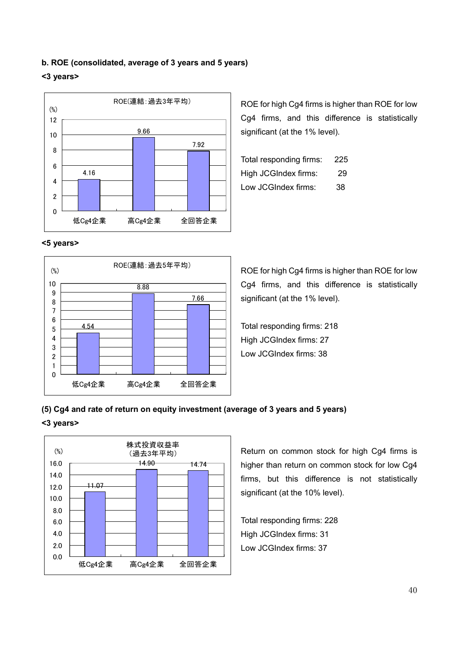#### b. ROE (consolidated, average of 3 years and 5 years)

#### <3 years>



<5 years>



ROE for high Cg4 firms is higher than ROE for low Cg4 firms, and this difference is statistically significant (at the 1% level).

| Total responding firms: | 225 |
|-------------------------|-----|
| High JCGIndex firms:    | 29  |
| Low JCGIndex firms:     | 38  |

ROE for high Cg4 firms is higher than ROE for low Cg4 firms, and this difference is statistically significant (at the 1% level).

Total responding firms: 218 High JCGIndex firms: 27 Low JCGIndex firms: 38

## (5) Cg4 and rate of return on equity investment (average of 3 years and 5 years)

#### <3 years>



Return on common stock for high Cg4 firms is higher than return on common stock for low Cg4 firms, but this difference is not statistically significant (at the 10% level).

Total responding firms: 228 High JCGIndex firms: 31 Low JCGIndex firms: 37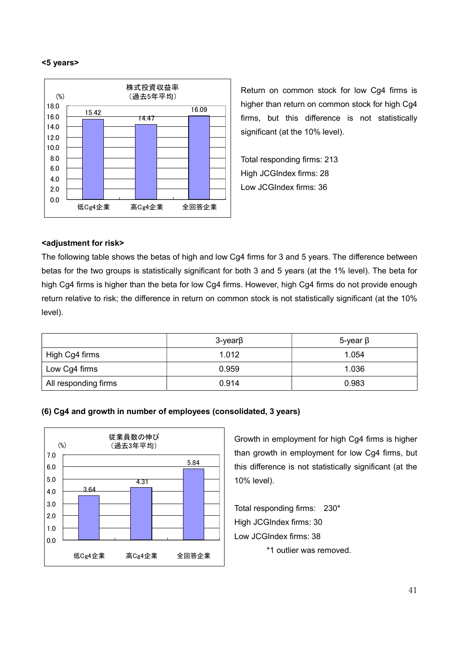#### <5 years>



Return on common stock for low Cg4 firms is higher than return on common stock for high Cg4 firms, but this difference is not statistically significant (at the 10% level).

Total responding firms: 213 High JCGIndex firms: 28 Low JCGIndex firms: 36

#### <adjustment for risk>

The following table shows the betas of high and low Cg4 firms for 3 and 5 years. The difference between betas for the two groups is statistically significant for both 3 and 5 years (at the 1% level). The beta for high Cg4 firms is higher than the beta for low Cg4 firms. However, high Cg4 firms do not provide enough return relative to risk; the difference in return on common stock is not statistically significant (at the 10% level).

|                      | $3$ -year $\beta$ | $5$ -year $\beta$ |  |
|----------------------|-------------------|-------------------|--|
| High Cg4 firms       | 1.012             | 1.054             |  |
| Low Cg4 firms        | 0.959             | 1.036             |  |
| All responding firms | 0.914             | 0.983             |  |





Growth in employment for high Cg4 firms is higher than growth in employment for low Cg4 firms, but this difference is not statistically significant (at the 10% level).

Total responding firms: 230\* High JCGIndex firms: 30 Low JCGIndex firms: 38 \*1 outlier was removed.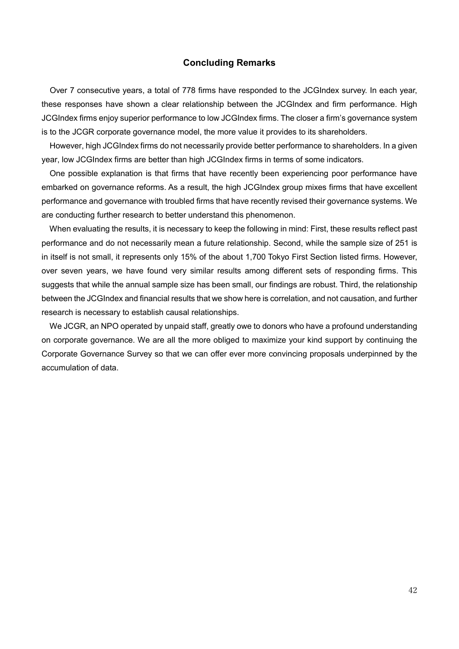#### Concluding Remarks

Over 7 consecutive years, a total of 778 firms have responded to the JCGIndex survey. In each year, these responses have shown a clear relationship between the JCGIndex and firm performance. High JCGIndex firms enjoy superior performance to low JCGIndex firms. The closer a firm's governance system is to the JCGR corporate governance model, the more value it provides to its shareholders.

 However, high JCGIndex firms do not necessarily provide better performance to shareholders. In a given year, low JCGIndex firms are better than high JCGIndex firms in terms of some indicators.

 One possible explanation is that firms that have recently been experiencing poor performance have embarked on governance reforms. As a result, the high JCGIndex group mixes firms that have excellent performance and governance with troubled firms that have recently revised their governance systems. We are conducting further research to better understand this phenomenon.

 When evaluating the results, it is necessary to keep the following in mind: First, these results reflect past performance and do not necessarily mean a future relationship. Second, while the sample size of 251 is in itself is not small, it represents only 15% of the about 1,700 Tokyo First Section listed firms. However, over seven years, we have found very similar results among different sets of responding firms. This suggests that while the annual sample size has been small, our findings are robust. Third, the relationship between the JCGIndex and financial results that we show here is correlation, and not causation, and further research is necessary to establish causal relationships.

 We JCGR, an NPO operated by unpaid staff, greatly owe to donors who have a profound understanding on corporate governance. We are all the more obliged to maximize your kind support by continuing the Corporate Governance Survey so that we can offer ever more convincing proposals underpinned by the accumulation of data.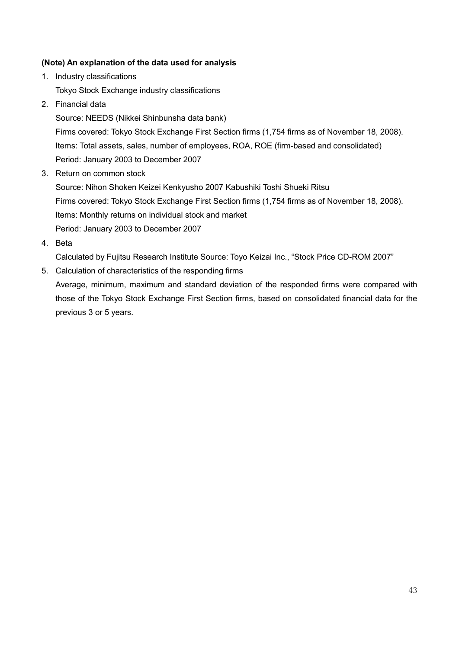## (Note) An explanation of the data used for analysis

- 1. Industry classifications Tokyo Stock Exchange industry classifications
- 2. Financial data

Source: NEEDS (Nikkei Shinbunsha data bank)

Firms covered: Tokyo Stock Exchange First Section firms (1,754 firms as of November 18, 2008). Items: Total assets, sales, number of employees, ROA, ROE (firm-based and consolidated) Period: January 2003 to December 2007

3. Return on common stock

Source: Nihon Shoken Keizei Kenkyusho 2007 Kabushiki Toshi Shueki Ritsu Firms covered: Tokyo Stock Exchange First Section firms (1,754 firms as of November 18, 2008). Items: Monthly returns on individual stock and market Period: January 2003 to December 2007

4. Beta

Calculated by Fujitsu Research Institute Source: Toyo Keizai Inc., "Stock Price CD-ROM 2007"

5. Calculation of characteristics of the responding firms

Average, minimum, maximum and standard deviation of the responded firms were compared with those of the Tokyo Stock Exchange First Section firms, based on consolidated financial data for the previous 3 or 5 years.